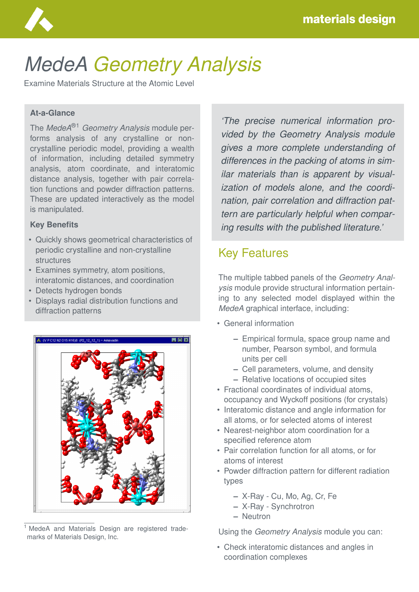

# *MedeA Geometry Analysis*

Examine Materials Structure at the Atomic Level

#### **At-a-Glance**

The *MedeA*®1 *Geometry Analysis* module performs analysis of any crystalline or noncrystalline periodic model, providing a wealth of information, including detailed symmetry analysis, atom coordinate, and interatomic distance analysis, together with pair correlation functions and powder diffraction patterns. These are updated interactively as the model is manipulated.

#### **Key Benefits**

- Quickly shows geometrical characteristics of periodic crystalline and non-crystalline structures
- Examines symmetry, atom positions, interatomic distances, and coordination
- Detects hydrogen bonds
- Displays radial distribution functions and diffraction patterns



<sup>1</sup> MedeA and Materials Design are registered trademarks of Materials Design, Inc.

*'The precise numerical information provided by the Geometry Analysis module gives a more complete understanding of differences in the packing of atoms in similar materials than is apparent by visualization of models alone, and the coordination, pair correlation and diffraction pattern are particularly helpful when comparing results with the published literature.'*

## Key Features

The multiple tabbed panels of the *Geometry Analysis* module provide structural information pertaining to any selected model displayed within the *MedeA* graphical interface, including:

- General information
	- **–** Empirical formula, space group name and number, Pearson symbol, and formula units per cell
	- **–** Cell parameters, volume, and density
	- **–** Relative locations of occupied sites
- Fractional coordinates of individual atoms, occupancy and Wyckoff positions (for crystals)
- Interatomic distance and angle information for all atoms, or for selected atoms of interest
- Nearest-neighbor atom coordination for a specified reference atom
- Pair correlation function for all atoms, or for atoms of interest
- Powder diffraction pattern for different radiation types
	- **–** X-Ray Cu, Mo, Ag, Cr, Fe
	- **–** X-Ray Synchrotron
	- **–** Neutron

Using the *Geometry Analysis* module you can:

• Check interatomic distances and angles in coordination complexes